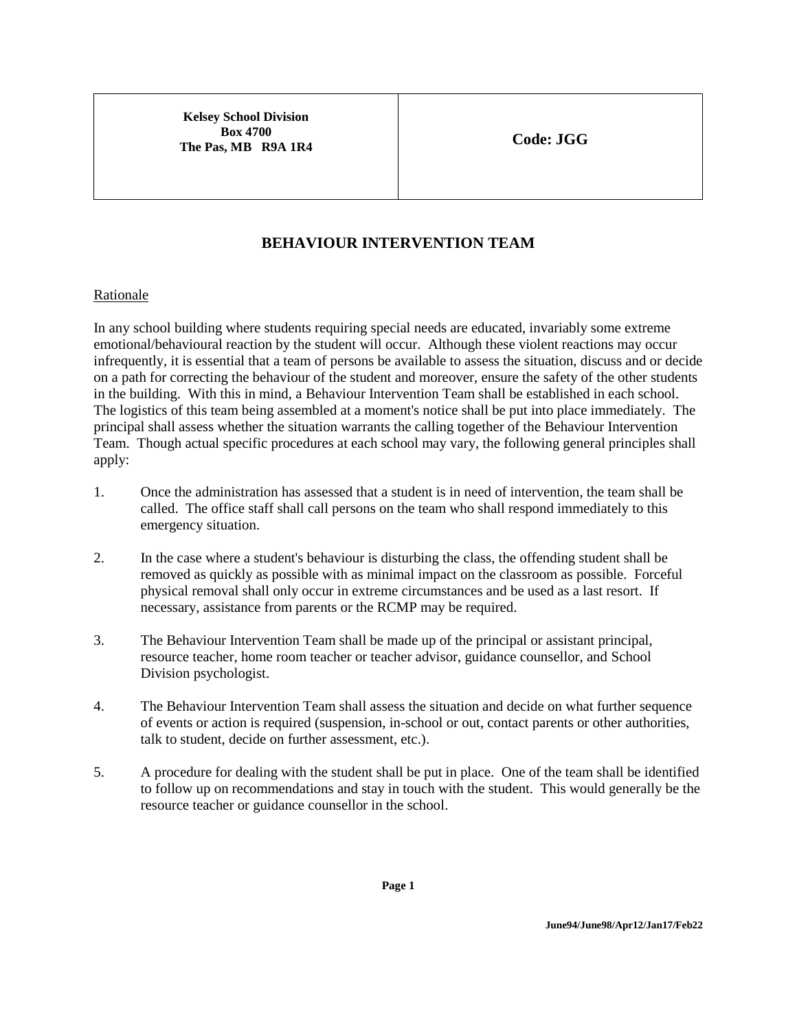**Kelsey School Division Box 4700 The Pas, MB R9A 1R4 Code: JGG** 

## **BEHAVIOUR INTERVENTION TEAM**

## Rationale

In any school building where students requiring special needs are educated, invariably some extreme emotional/behavioural reaction by the student will occur. Although these violent reactions may occur infrequently, it is essential that a team of persons be available to assess the situation, discuss and or decide on a path for correcting the behaviour of the student and moreover, ensure the safety of the other students in the building. With this in mind, a Behaviour Intervention Team shall be established in each school. The logistics of this team being assembled at a moment's notice shall be put into place immediately. The principal shall assess whether the situation warrants the calling together of the Behaviour Intervention Team. Though actual specific procedures at each school may vary, the following general principles shall apply:

- 1. Once the administration has assessed that a student is in need of intervention, the team shall be called. The office staff shall call persons on the team who shall respond immediately to this emergency situation.
- 2. In the case where a student's behaviour is disturbing the class, the offending student shall be removed as quickly as possible with as minimal impact on the classroom as possible. Forceful physical removal shall only occur in extreme circumstances and be used as a last resort. If necessary, assistance from parents or the RCMP may be required.
- 3. The Behaviour Intervention Team shall be made up of the principal or assistant principal, resource teacher, home room teacher or teacher advisor, guidance counsellor, and School Division psychologist.
- 4. The Behaviour Intervention Team shall assess the situation and decide on what further sequence of events or action is required (suspension, in-school or out, contact parents or other authorities, talk to student, decide on further assessment, etc.).
- 5. A procedure for dealing with the student shall be put in place. One of the team shall be identified to follow up on recommendations and stay in touch with the student. This would generally be the resource teacher or guidance counsellor in the school.

**Page 1**